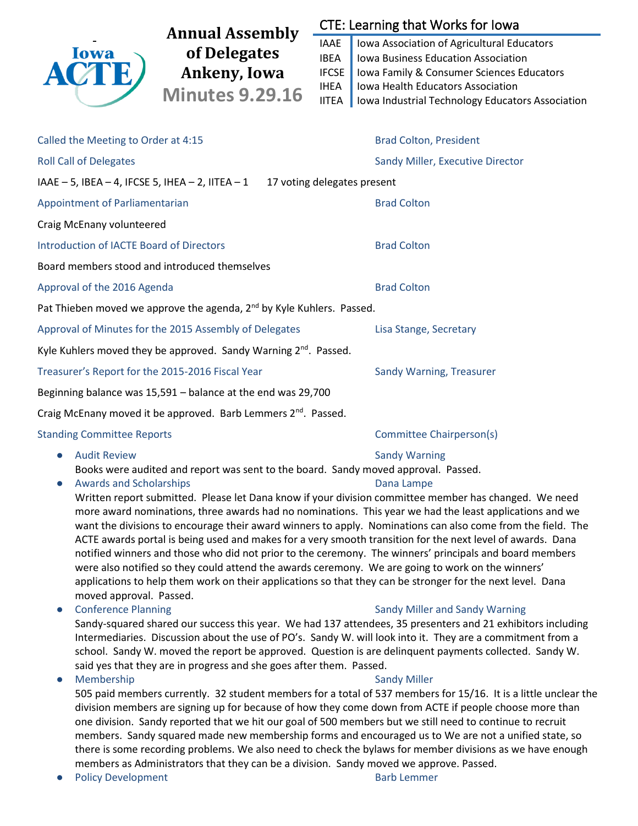

Written report submitted. Please let Dana know if your division committee member has changed. We need more award nominations, three awards had no nominations. This year we had the least applications and we want the divisions to encourage their award winners to apply. Nominations can also come from the field. The ACTE awards portal is being used and makes for a very smooth transition for the next level of awards. Dana notified winners and those who did not prior to the ceremony. The winners' principals and board members were also notified so they could attend the awards ceremony. We are going to work on the winners' applications to help them work on their applications so that they can be stronger for the next level. Dana moved approval. Passed.

• Conference Planning The Conference Planning Sandy Miller and Sandy Warning

Sandy-squared shared our success this year. We had 137 attendees, 35 presenters and 21 exhibitors including Intermediaries. Discussion about the use of PO's. Sandy W. will look into it. They are a commitment from a school. Sandy W. moved the report be approved. Question is are delinquent payments collected. Sandy W. said yes that they are in progress and she goes after them. Passed.

### ● Membership Sandy Miller

505 paid members currently. 32 student members for a total of 537 members for 15/16. It is a little unclear the division members are signing up for because of how they come down from ACTE if people choose more than one division. Sandy reported that we hit our goal of 500 members but we still need to continue to recruit members. Sandy squared made new membership forms and encouraged us to We are not a unified state, so there is some recording problems. We also need to check the bylaws for member divisions as we have enough members as Administrators that they can be a division. Sandy moved we approve. Passed.

**Policy Development Contract Contract Contract Contract Contract Contract Contract Contract Contract Contract Contract Contract Contract Contract Contract Contract Contract Contract Contract Contract Contract Contract Cont**